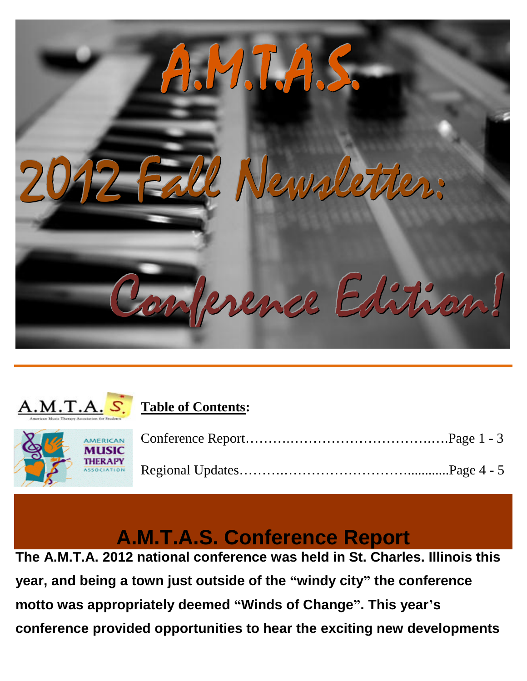



# **Table of Contents:**



# **A.M.T.A.S. Conference Report**

**The A.M.T.A. 2012 national conference was held in St. Charles. Illinois this year, and being a town just outside of the "windy city" the conference motto was appropriately deemed "Winds of Change". This year's conference provided opportunities to hear the exciting new developments**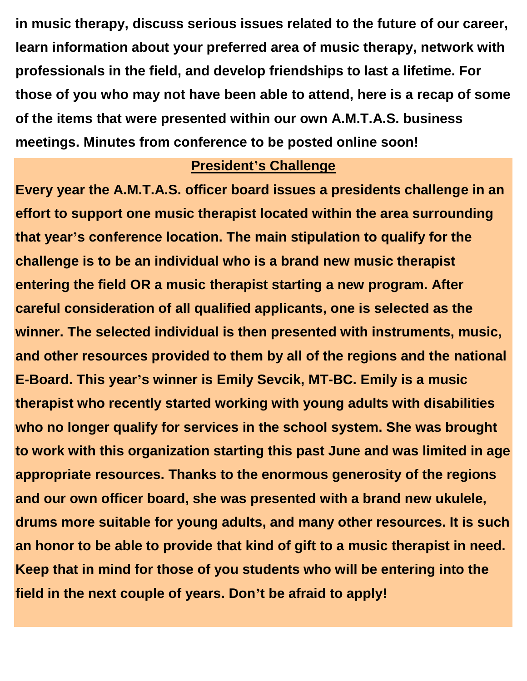**in music therapy, discuss serious issues related to the future of our career, learn information about your preferred area of music therapy, network with professionals in the field, and develop friendships to last a lifetime. For those of you who may not have been able to attend, here is a recap of some of the items that were presented within our own A.M.T.A.S. business meetings. Minutes from conference to be posted online soon!**

#### **President's Challenge**

**Every year the A.M.T.A.S. officer board issues a presidents challenge in an effort to support one music therapist located within the area surrounding that year's conference location. The main stipulation to qualify for the challenge is to be an individual who is a brand new music therapist entering the field OR a music therapist starting a new program. After careful consideration of all qualified applicants, one is selected as the winner. The selected individual is then presented with instruments, music, and other resources provided to them by all of the regions and the national E-Board. This year's winner is Emily Sevcik, MT-BC. Emily is a music therapist who recently started working with young adults with disabilities who no longer qualify for services in the school system. She was brought to work with this organization starting this past June and was limited in age appropriate resources. Thanks to the enormous generosity of the regions and our own officer board, she was presented with a brand new ukulele, drums more suitable for young adults, and many other resources. It is such an honor to be able to provide that kind of gift to a music therapist in need. Keep that in mind for those of you students who will be entering into the field in the next couple of years. Don't be afraid to apply!**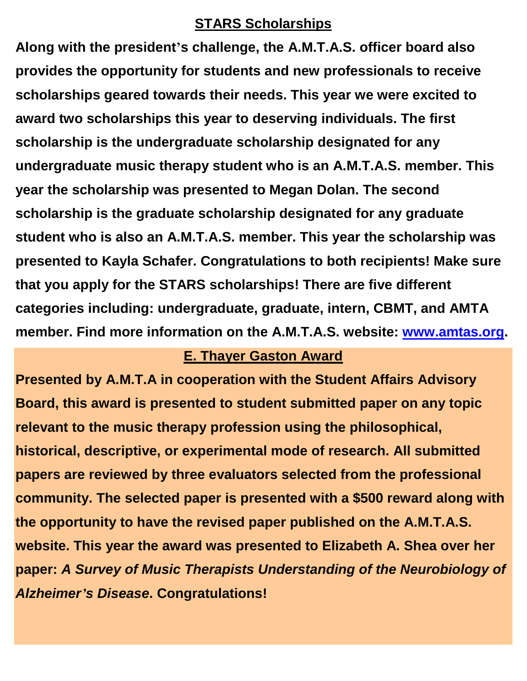#### **STARS Scholarships**

**Along with the president's challenge, the A.M.T.A.S. officer board also provides the opportunity for students and new professionals to receive scholarships geared towards their needs. This year we were excited to award two scholarships this year to deserving individuals. The first scholarship is the undergraduate scholarship designated for any undergraduate music therapy student who is an A.M.T.A.S. member. This year the scholarship was presented to Megan Dolan. The second scholarship is the graduate scholarship designated for any graduate student who is also an A.M.T.A.S. member. This year the scholarship was presented to Kayla Schafer. Congratulations to both recipients! Make sure that you apply for the STARS scholarships! There are five different categories including: undergraduate, graduate, intern, CBMT, and AMTA member. Find more information on the A.M.T.A.S. website: [www.amtas.org.](http://www.amtas.org/)** 

#### **E. Thayer Gaston Award**

**Presented by A.M.T.A in cooperation with the Student Affairs Advisory Board, this award is presented to student submitted paper on any topic relevant to the music therapy profession using the philosophical, historical, descriptive, or experimental mode of research. All submitted papers are reviewed by three evaluators selected from the professional community. The selected paper is presented with a \$500 reward along with the opportunity to have the revised paper published on the A.M.T.A.S. website. This year the award was presented to Elizabeth A. Shea over her paper:** *A Survey of Music Therapists Understanding of the Neurobiology of Alzheimer's Disease***. Congratulations!**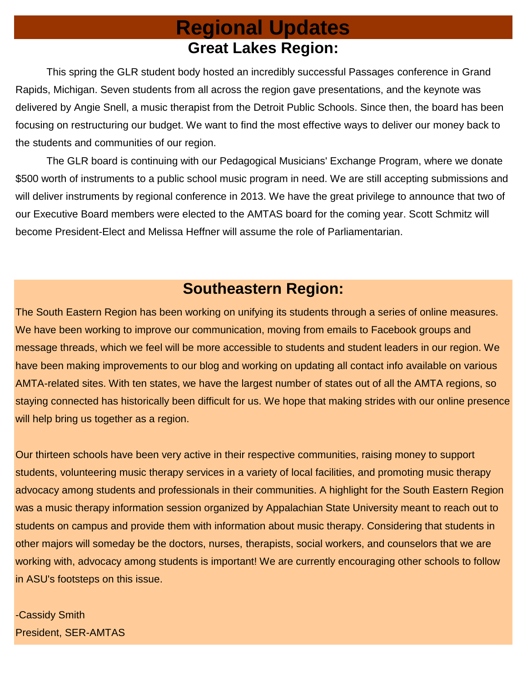# **Regional Updates Great Lakes Region:**

This spring the GLR student body hosted an incredibly successful Passages conference in Grand Rapids, Michigan. Seven students from all across the region gave presentations, and the keynote was delivered by Angie Snell, a music therapist from the Detroit Public Schools. Since then, the board has been focusing on restructuring our budget. We want to find the most effective ways to deliver our money back to the students and communities of our region.

The GLR board is continuing with our Pedagogical Musicians' Exchange Program, where we donate \$500 worth of instruments to a public school music program in need. We are still accepting submissions and will deliver instruments by regional conference in 2013. We have the great privilege to announce that two of our Executive Board members were elected to the AMTAS board for the coming year. Scott Schmitz will become President-Elect and Melissa Heffner will assume the role of Parliamentarian.

## **Southeastern Region:**

The South Eastern Region has been working on unifying its students through a series of online measures. We have been working to improve our communication, moving from emails to Facebook groups and message threads, which we feel will be more accessible to students and student leaders in our region. We have been making improvements to our blog and working on updating all contact info available on various AMTA-related sites. With ten states, we have the largest number of states out of all the AMTA regions, so staying connected has historically been difficult for us. We hope that making strides with our online presence will help bring us together as a region.

Our thirteen schools have been very active in their respective communities, raising money to support students, volunteering music therapy services in a variety of local facilities, and promoting music therapy advocacy among students and professionals in their communities. A highlight for the South Eastern Region was a music therapy information session organized by Appalachian State University meant to reach out to students on campus and provide them with information about music therapy. Considering that students in other majors will someday be the doctors, nurses, therapists, social workers, and counselors that we are working with, advocacy among students is important! We are currently encouraging other schools to follow in ASU's footsteps on this issue.

-Cassidy Smith President, SER-AMTAS